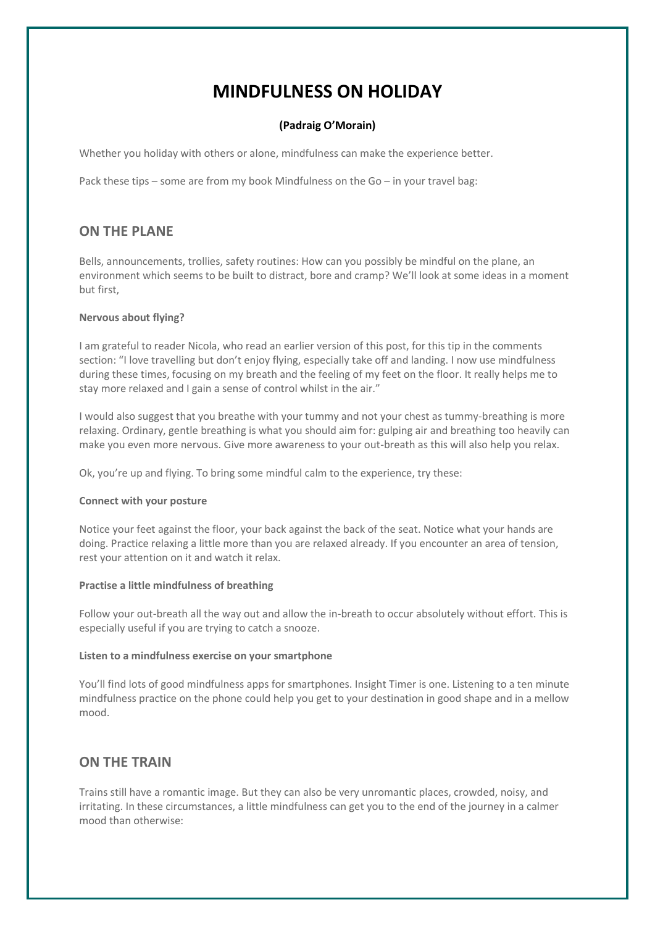# **MINDFULNESS ON HOLIDAY**

# **(Padraig O'Morain)**

Whether you holiday with others or alone, mindfulness can make the experience better.

Pack these tips – some are from my book Mindfulness on the Go – in your travel bag:

# **ON THE PLANE**

Bells, announcements, trollies, safety routines: How can you possibly be mindful on the plane, an environment which seems to be built to distract, bore and cramp? We'll look at some ideas in a moment but first,

# **Nervous about flying?**

I am grateful to reader Nicola, who read an earlier version of this post, for this tip in the comments section: "I love travelling but don't enjoy flying, especially take off and landing. I now use mindfulness during these times, focusing on my breath and the feeling of my feet on the floor. It really helps me to stay more relaxed and I gain a sense of control whilst in the air."

I would also suggest that you breathe with your tummy and not your chest as tummy-breathing is more relaxing. Ordinary, gentle breathing is what you should aim for: gulping air and breathing too heavily can make you even more nervous. Give more awareness to your out-breath as this will also help you relax.

Ok, you're up and flying. To bring some mindful calm to the experience, try these:

# **Connect with your posture**

Notice your feet against the floor, your back against the back of the seat. Notice what your hands are doing. Practice relaxing a little more than you are relaxed already. If you encounter an area of tension, rest your attention on it and watch it relax.

# **Practise a little mindfulness of breathing**

Follow your out-breath all the way out and allow the in-breath to occur absolutely without effort. This is especially useful if you are trying to catch a snooze.

# **Listen to a mindfulness exercise on your smartphone**

You'll find lots of good mindfulness apps for smartphones. Insight Timer is one. Listening to a ten minute mindfulness practice on the phone could help you get to your destination in good shape and in a mellow mood.

# **ON THE TRAIN**

Trains still have a romantic image. But they can also be very unromantic places, crowded, noisy, and irritating. In these circumstances, a little mindfulness can get you to the end of the journey in a calmer mood than otherwise: